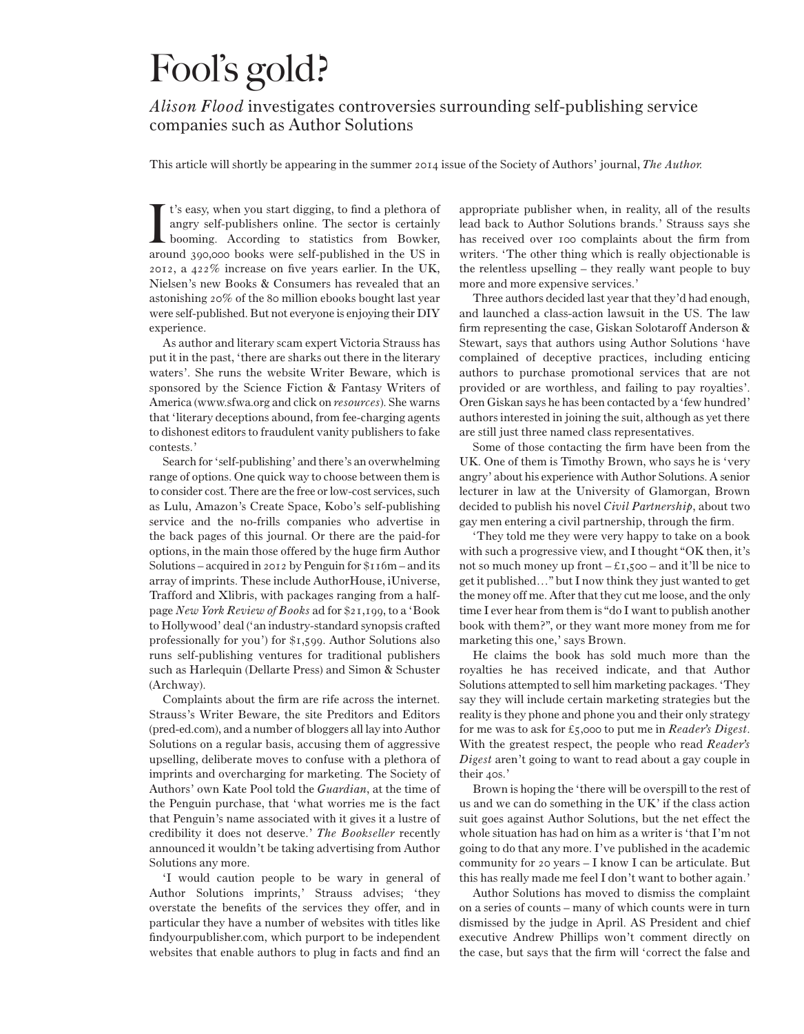## Fool's gold?

## *Alison Flood* investigates controversies surrounding self-publishing service companies such as Author Solutions

This article will shortly be appearing in the summer 2014 issue of the Society of Authors' journal, *The Author.*

It's easy, when you start digging, to find a plethora of angry self-publishers online. The sector is certainly booming. According to statistics from Bowker, around 390,000 books were self-published in the US in t's easy, when you start digging, to find a plethora of angry self-publishers online. The sector is certainly booming. According to statistics from Bowker, 2012, a 422% increase on five years earlier. In the UK, Nielsen's new Books & Consumers has revealed that an astonishing 20% of the 80 million ebooks bought last year were self-published. But not everyone is enjoying their DIY experience.

As author and literary scam expert Victoria Strauss has put it in the past, 'there are sharks out there in the literary waters'. She runs the website Writer Beware, which is sponsored by the Science Fiction & Fantasy Writers of America (www.sfwa.org and click on *resources*). She warns that 'literary deceptions abound, from fee-charging agents to dishonest editors to fraudulent vanity publishers to fake contests.'

Search for 'self-publishing' and there's an overwhelming range of options. One quick way to choose between them is to consider cost. There are the free or low-cost services, such as Lulu, Amazon's Create Space, Kobo's self-publishing service and the no-frills companies who advertise in the back pages of this journal. Or there are the paid-for options, in the main those offered by the huge firm Author Solutions – acquired in 2012 by Penguin for \$116m – and its array of imprints. These include AuthorHouse, iUniverse, Trafford and Xlibris, with packages ranging from a halfpage *New York Review of Books* ad for \$21,199, to a 'Book to Hollywood' deal ('an industry-standard synopsis crafted professionally for you') for \$1,599. Author Solutions also runs self-publishing ventures for traditional publishers such as Harlequin (Dellarte Press) and Simon & Schuster (Archway).

Complaints about the firm are rife across the internet. Strauss's Writer Beware, the site Preditors and Editors (pred-ed.com), and a number of bloggers all lay into Author Solutions on a regular basis, accusing them of aggressive upselling, deliberate moves to confuse with a plethora of imprints and overcharging for marketing. The Society of Authors' own Kate Pool told the *Guardian*, at the time of the Penguin purchase, that 'what worries me is the fact that Penguin's name associated with it gives it a lustre of credibility it does not deserve.' *The Bookseller* recently announced it wouldn't be taking advertising from Author Solutions any more.

'I would caution people to be wary in general of Author Solutions imprints,' Strauss advises; 'they overstate the benefits of the services they offer, and in particular they have a number of websites with titles like findyourpublisher.com, which purport to be independent websites that enable authors to plug in facts and find an

appropriate publisher when, in reality, all of the results lead back to Author Solutions brands.' Strauss says she has received over 100 complaints about the firm from writers. 'The other thing which is really objectionable is the relentless upselling – they really want people to buy more and more expensive services.'

Three authors decided last year that they'd had enough, and launched a class-action lawsuit in the US. The law firm representing the case, Giskan Solotaroff Anderson & Stewart, says that authors using Author Solutions 'have complained of deceptive practices, including enticing authors to purchase promotional services that are not provided or are worthless, and failing to pay royalties'. Oren Giskan says he has been contacted by a 'few hundred' authors interested in joining the suit, although as yet there are still just three named class representatives.

Some of those contacting the firm have been from the UK. One of them is Timothy Brown, who says he is 'very angry' about his experience with Author Solutions. A senior lecturer in law at the University of Glamorgan, Brown decided to publish his novel *Civil Partnership*, about two gay men entering a civil partnership, through the firm.

'They told me they were very happy to take on a book with such a progressive view, and I thought "OK then, it's not so much money up front  $-\xi_{1,500}$  – and it'll be nice to get it published…" but I now think they just wanted to get the money off me. After that they cut me loose, and the only time I ever hear from them is "do I want to publish another book with them?", or they want more money from me for marketing this one,' says Brown.

He claims the book has sold much more than the royalties he has received indicate, and that Author Solutions attempted to sell him marketing packages. 'They say they will include certain marketing strategies but the reality is they phone and phone you and their only strategy for me was to ask for £5,000 to put me in *Reader's Digest*. With the greatest respect, the people who read *Reader's Digest* aren't going to want to read about a gay couple in their 40s.'

Brown is hoping the 'there will be overspill to the rest of us and we can do something in the UK' if the class action suit goes against Author Solutions, but the net effect the whole situation has had on him as a writer is 'that I'm not going to do that any more. I've published in the academic community for 20 years – I know I can be articulate. But this has really made me feel I don't want to bother again.'

Author Solutions has moved to dismiss the complaint on a series of counts – many of which counts were in turn dismissed by the judge in April. AS President and chief executive Andrew Phillips won't comment directly on the case, but says that the firm will 'correct the false and